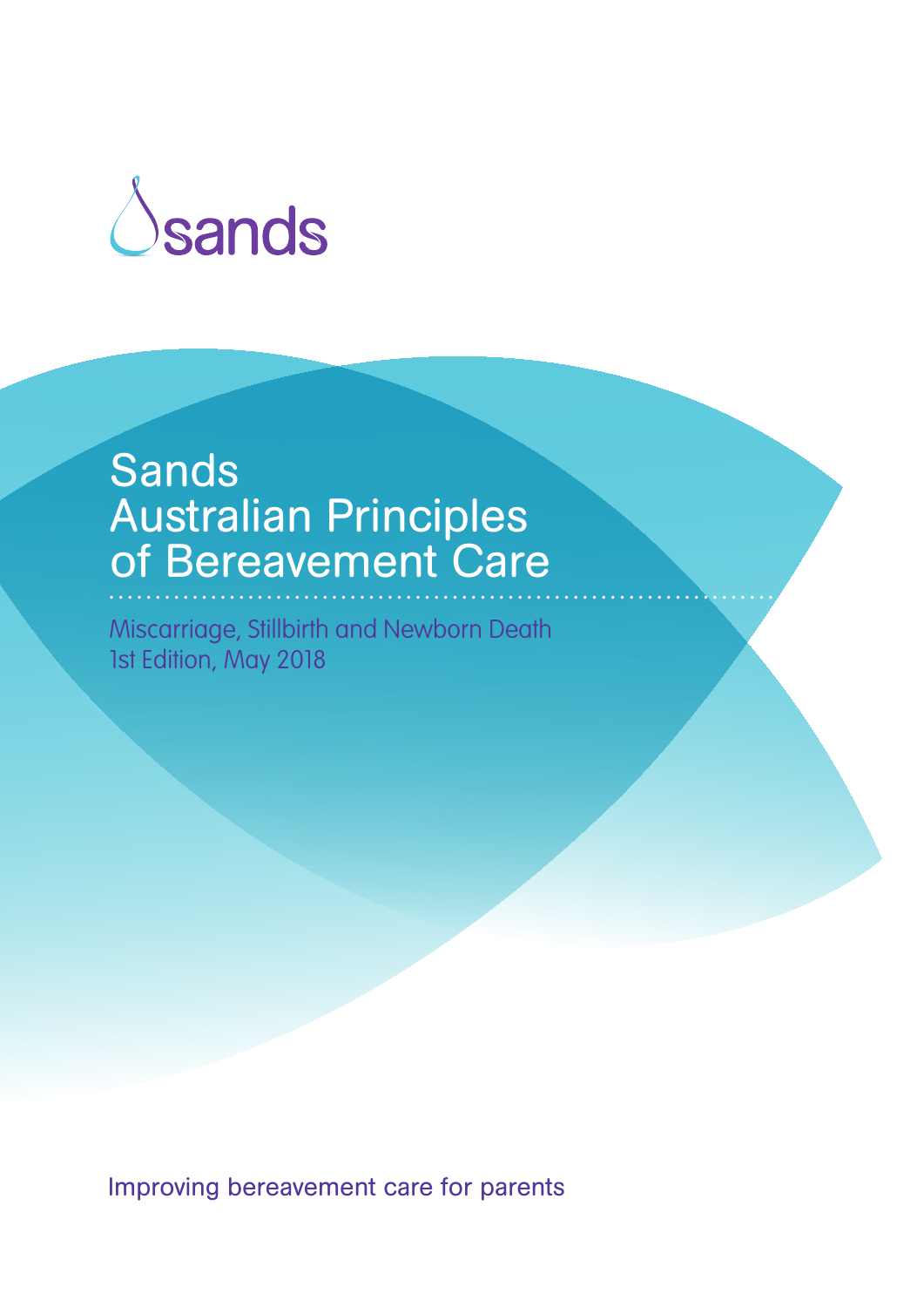

## Sands Australian Principles of Bereavement Care ..........................................................................

Miscarriage, Stillbirth and Newborn Death 1st Edition, May 2018

Improving bereavement care for parents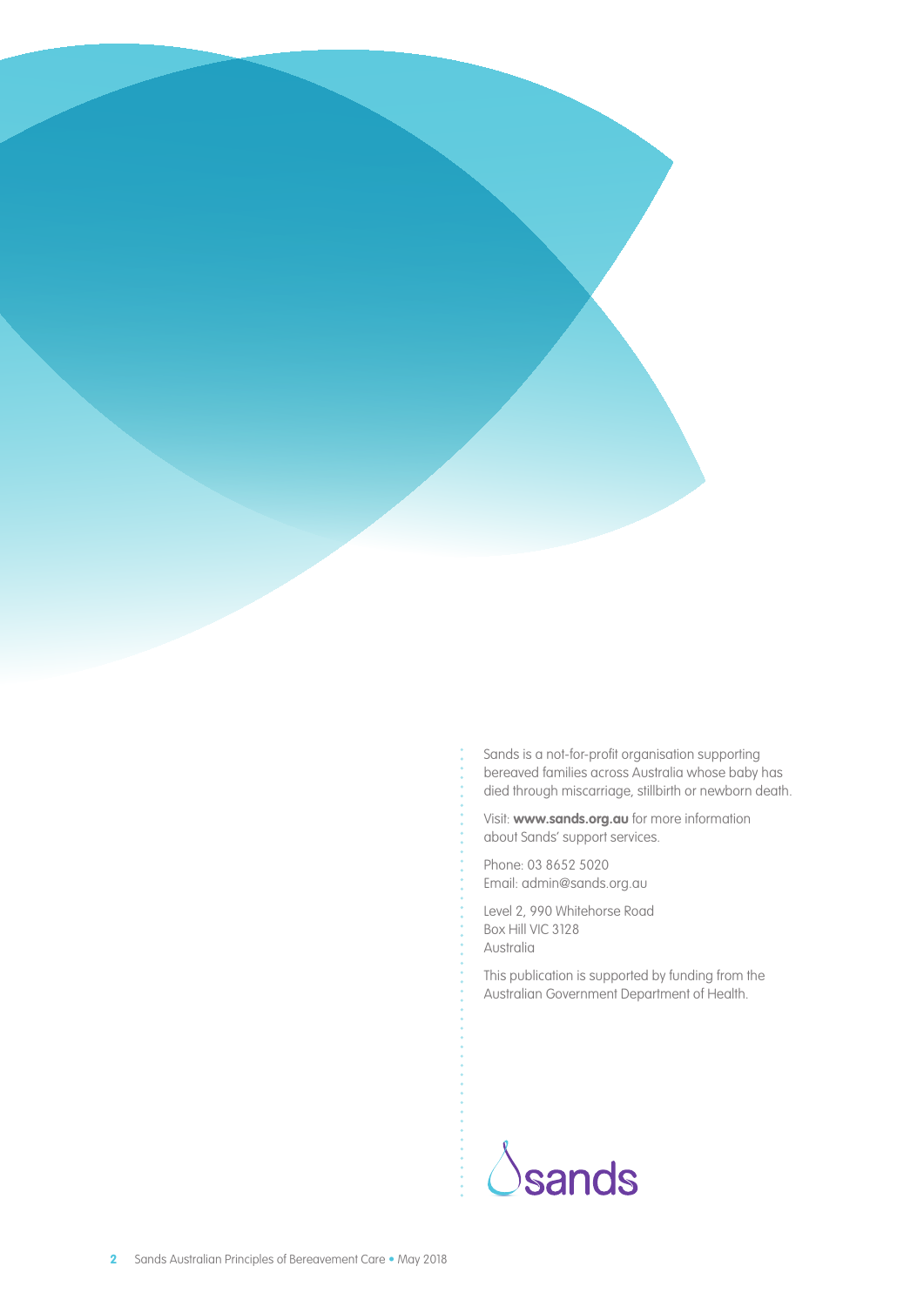

Sands is a not-for-profit organisation supporting bereaved families across Australia whose baby has died through miscarriage, stillbirth or newborn death.

Visit: **www.sands.org.au** for more information about Sands' support services.

Phone: 03 8652 5020 Email: admin@sands.org.au

Level 2, 990 Whitehorse Road Box Hill VIC 3128 Australia

This publication is supported by funding from the Australian Government Department of Health.

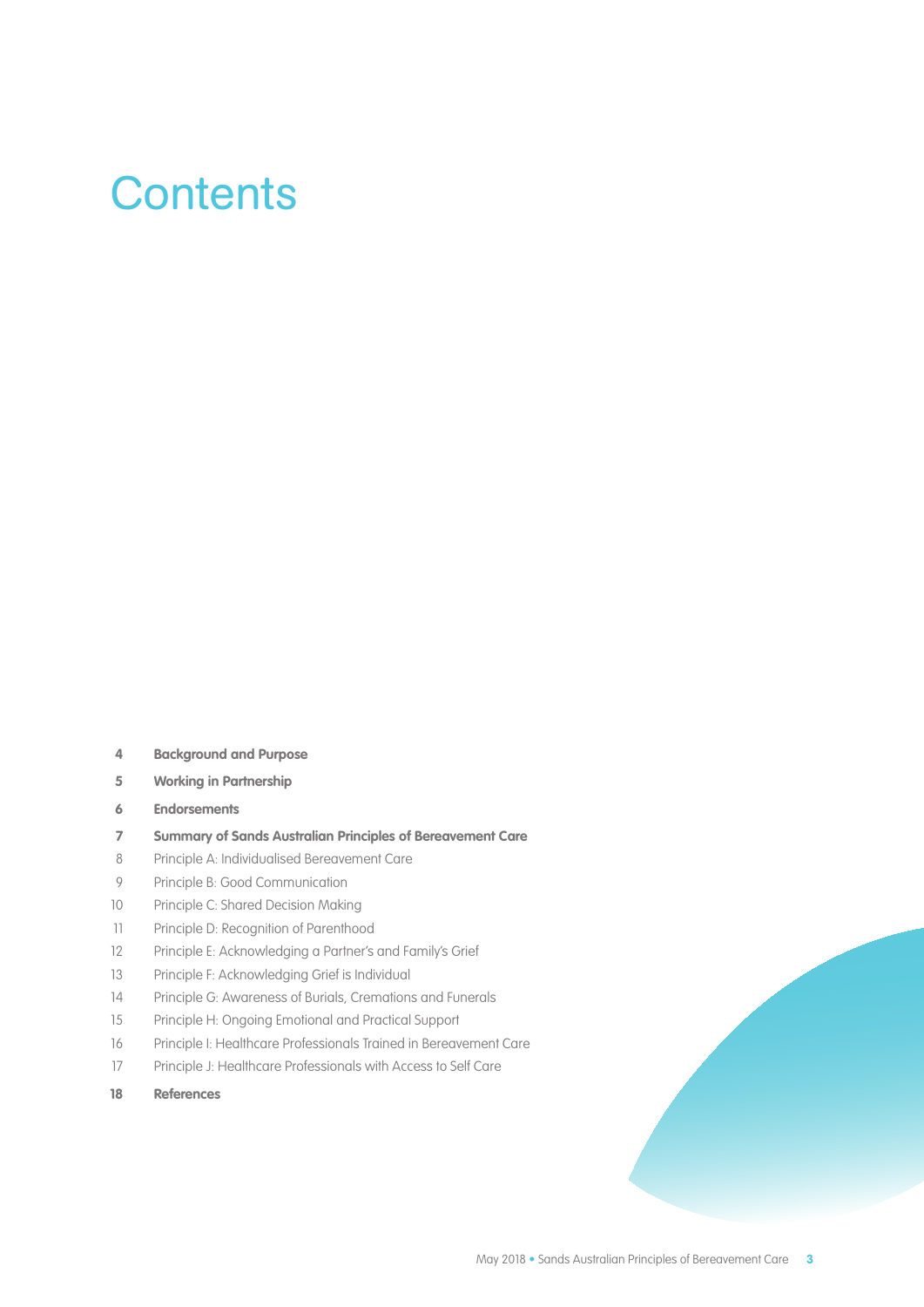## **Contents**

- **Background and Purpose**
- **Working in Partnership**
- **Endorsements**
- **Summary of Sands Australian Principles of Bereavement Care**
- Principle A: Individualised Bereavement Care
- Principle B: Good Communication
- 10 Principle C: Shared Decision Making
- Principle D: Recognition of Parenthood
- 12 Principle E: Acknowledging a Partner's and Family's Grief
- 13 Principle F: Acknowledging Grief is Individual
- Principle G: Awareness of Burials, Cremations and Funerals
- Principle H: Ongoing Emotional and Practical Support
- Principle I: Healthcare Professionals Trained in Bereavement Care
- Principle J: Healthcare Professionals with Access to Self Care
- **References**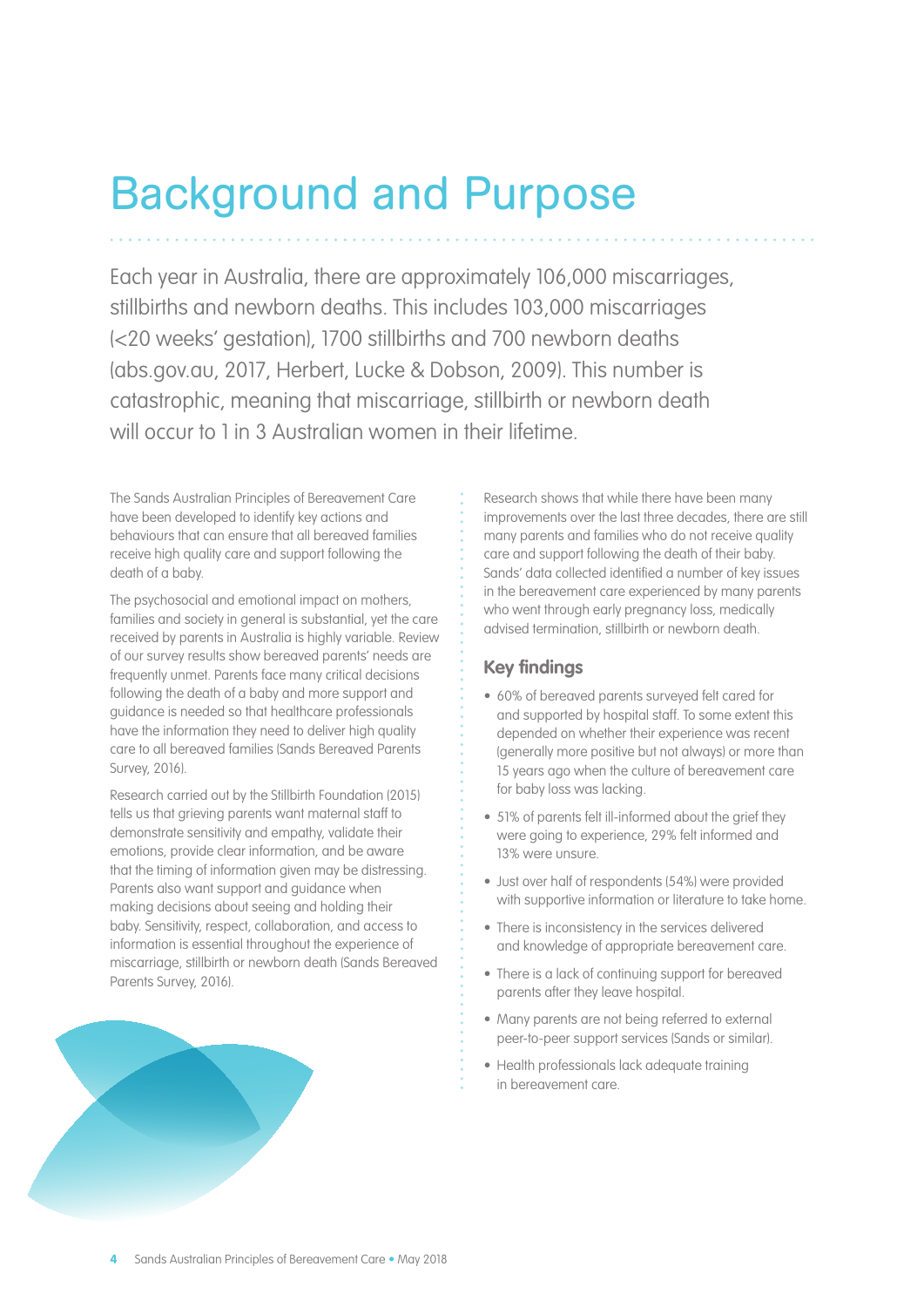## Background and Purpose

Each year in Australia, there are approximately 106,000 miscarriages, stillbirths and newborn deaths. This includes 103,000 miscarriages (<20 weeks' gestation), 1700 stillbirths and 700 newborn deaths (abs.gov.au, 2017, Herbert, Lucke & Dobson, 2009). This number is catastrophic, meaning that miscarriage, stillbirth or newborn death will occur to 1 in 3 Australian women in their lifetime.

The Sands Australian Principles of Bereavement Care have been developed to identify key actions and behaviours that can ensure that all bereaved families receive high quality care and support following the death of a baby.

The psychosocial and emotional impact on mothers, families and society in general is substantial, yet the care received by parents in Australia is highly variable. Review of our survey results show bereaved parents' needs are frequently unmet. Parents face many critical decisions following the death of a baby and more support and guidance is needed so that healthcare professionals have the information they need to deliver high quality care to all bereaved families (Sands Bereaved Parents Survey, 2016).

Research carried out by the Stillbirth Foundation (2015) tells us that grieving parents want maternal staff to demonstrate sensitivity and empathy, validate their emotions, provide clear information, and be aware that the timing of information given may be distressing. Parents also want support and guidance when making decisions about seeing and holding their baby. Sensitivity, respect, collaboration, and access to information is essential throughout the experience of miscarriage, stillbirth or newborn death (Sands Bereaved Parents Survey, 2016).

Research shows that while there have been many improvements over the last three decades, there are still many parents and families who do not receive quality care and support following the death of their baby. Sands' data collected identified a number of key issues in the bereavement care experienced by many parents who went through early pregnancy loss, medically advised termination, stillbirth or newborn death.

## **Key findings**

- 60% of bereaved parents surveyed felt cared for and supported by hospital staff. To some extent this depended on whether their experience was recent (generally more positive but not always) or more than 15 years ago when the culture of bereavement care for baby loss was lacking.
- 51% of parents felt ill-informed about the grief they were going to experience, 29% felt informed and 13% were unsure.
- Just over half of respondents (54%) were provided with supportive information or literature to take home.
- There is inconsistency in the services delivered and knowledge of appropriate bereavement care.
- There is a lack of continuing support for bereaved parents after they leave hospital.
- Many parents are not being referred to external peer-to-peer support services (Sands or similar).
- Health professionals lack adequate training in bereavement care.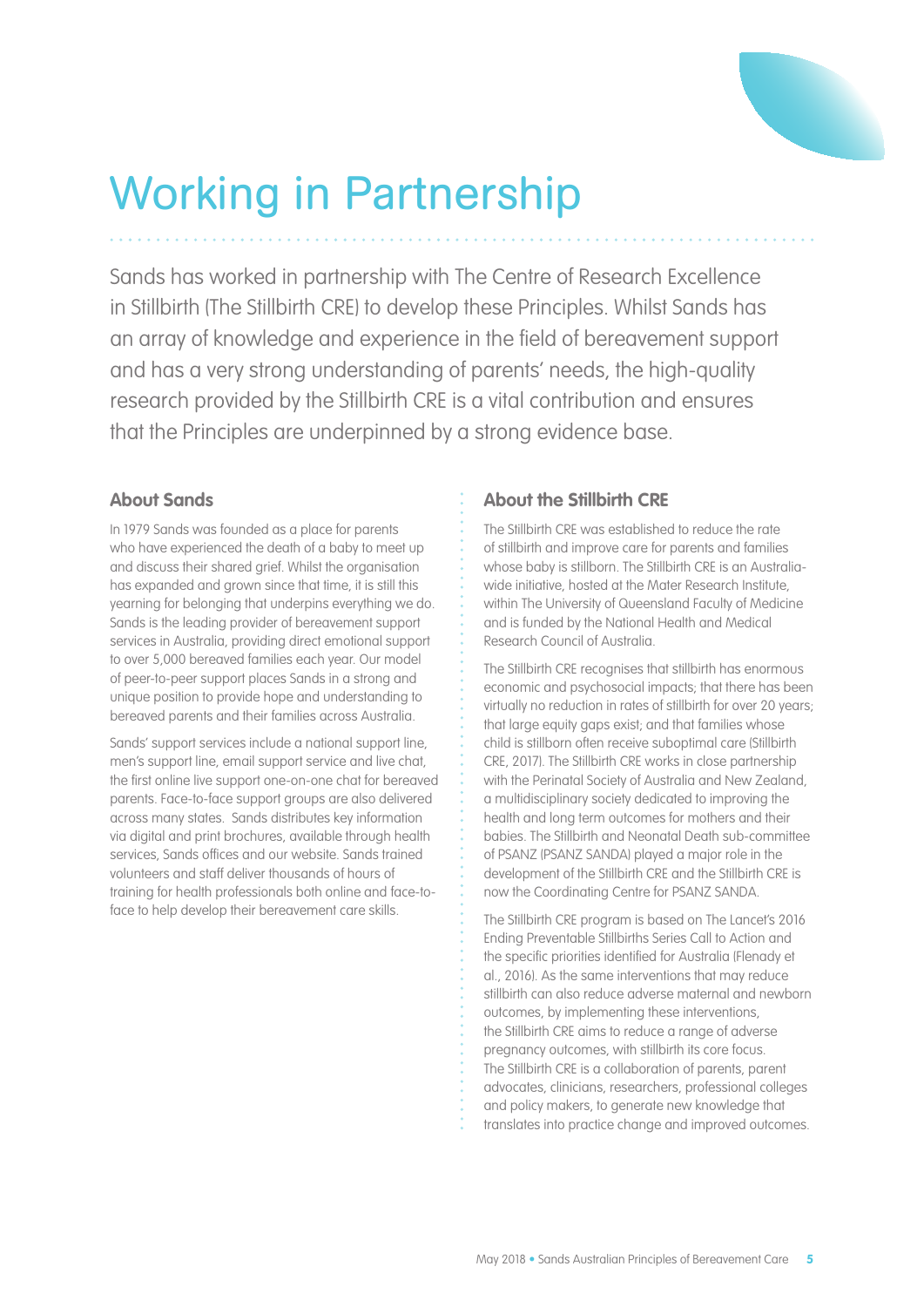

# Working in Partnership

Sands has worked in partnership with The Centre of Research Excellence in Stillbirth (The Stillbirth CRE) to develop these Principles. Whilst Sands has an array of knowledge and experience in the field of bereavement support and has a very strong understanding of parents' needs, the high-quality research provided by the Stillbirth CRE is a vital contribution and ensures that the Principles are underpinned by a strong evidence base.

## **About Sands**

In 1979 Sands was founded as a place for parents who have experienced the death of a baby to meet up and discuss their shared grief. Whilst the organisation has expanded and grown since that time, it is still this yearning for belonging that underpins everything we do. Sands is the leading provider of bereavement support services in Australia, providing direct emotional support to over 5,000 bereaved families each year. Our model of peer-to-peer support places Sands in a strong and unique position to provide hope and understanding to bereaved parents and their families across Australia.

Sands' support services include a national support line, men's support line, email support service and live chat, the first online live support one-on-one chat for bereaved parents. Face-to-face support groups are also delivered across many states. Sands distributes key information via digital and print brochures, available through health services, Sands offices and our website. Sands trained volunteers and staff deliver thousands of hours of training for health professionals both online and face-toface to help develop their bereavement care skills.

### **About the Stillbirth CRE**

The Stillbirth CRE was established to reduce the rate of stillbirth and improve care for parents and families whose baby is stillborn. The Stillbirth CRE is an Australiawide initiative, hosted at the Mater Research Institute, within The University of Queensland Faculty of Medicine and is funded by the National Health and Medical Research Council of Australia.

The Stillbirth CRE recognises that stillbirth has enormous economic and psychosocial impacts; that there has been virtually no reduction in rates of stillbirth for over 20 years; that large equity gaps exist; and that families whose child is stillborn often receive suboptimal care (Stillbirth CRE, 2017). The Stillbirth CRE works in close partnership with the Perinatal Society of Australia and New Zealand, a multidisciplinary society dedicated to improving the health and long term outcomes for mothers and their babies. The Stillbirth and Neonatal Death sub-committee of PSANZ (PSANZ SANDA) played a major role in the development of the Stillbirth CRE and the Stillbirth CRE is now the Coordinating Centre for PSANZ SANDA.

The Stillbirth CRE program is based on The Lancet's 2016 Ending Preventable Stillbirths Series Call to Action and the specific priorities identified for Australia (Flenady et al., 2016). As the same interventions that may reduce stillbirth can also reduce adverse maternal and newborn outcomes, by implementing these interventions, the Stillbirth CRE aims to reduce a range of adverse pregnancy outcomes, with stillbirth its core focus. The Stillbirth CRE is a collaboration of parents, parent advocates, clinicians, researchers, professional colleges and policy makers, to generate new knowledge that translates into practice change and improved outcomes.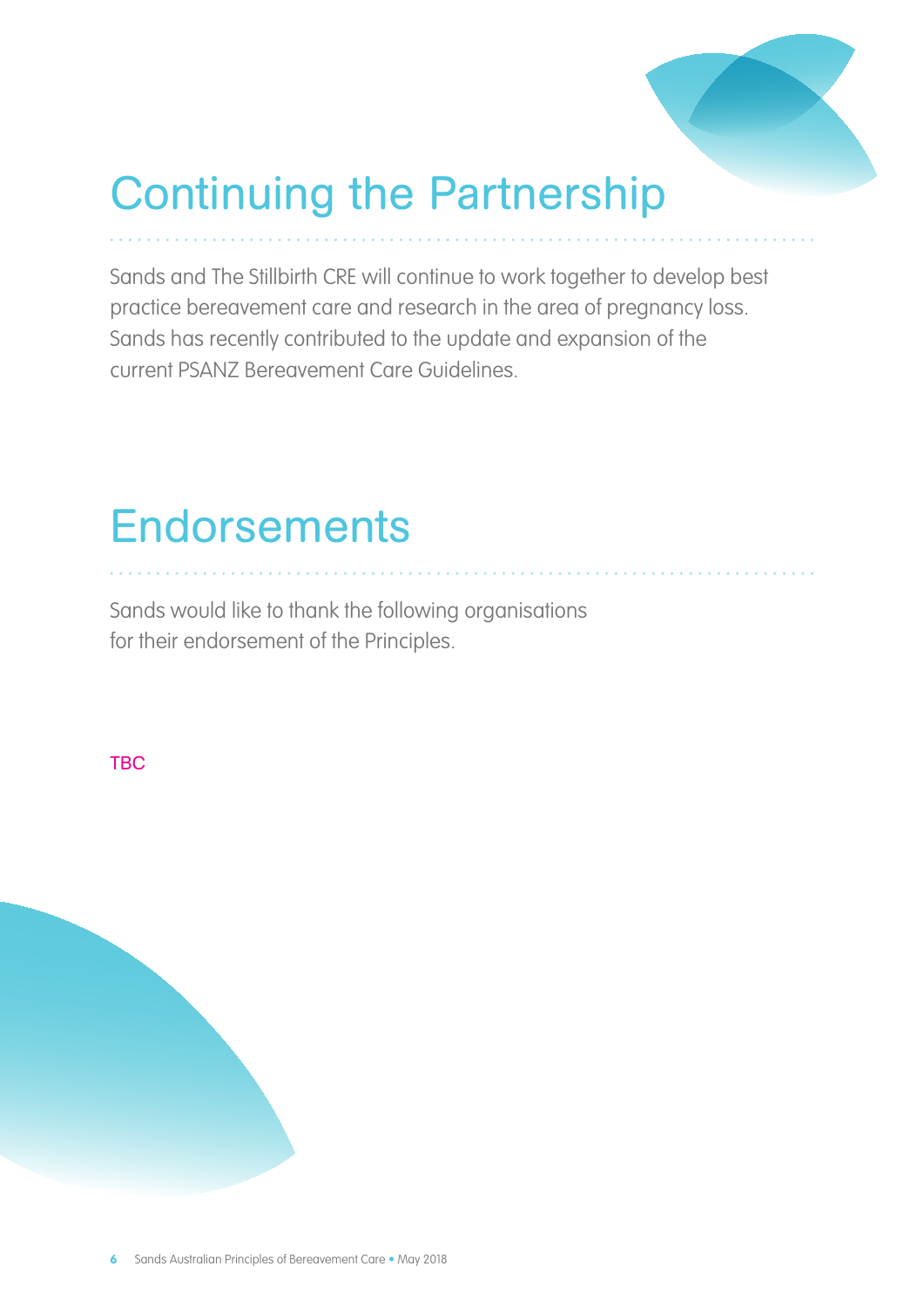

# Continuing the Partnership

Sands and The Stillbirth CRE will continue to work together to develop best practice bereavement care and research in the area of pregnancy loss. Sands has recently contributed to the update and expansion of the current PSANZ Bereavement Care Guidelines.

## **Endorsements**

Sands would like to thank the following organisations for their endorsement of the Principles.

**TBC**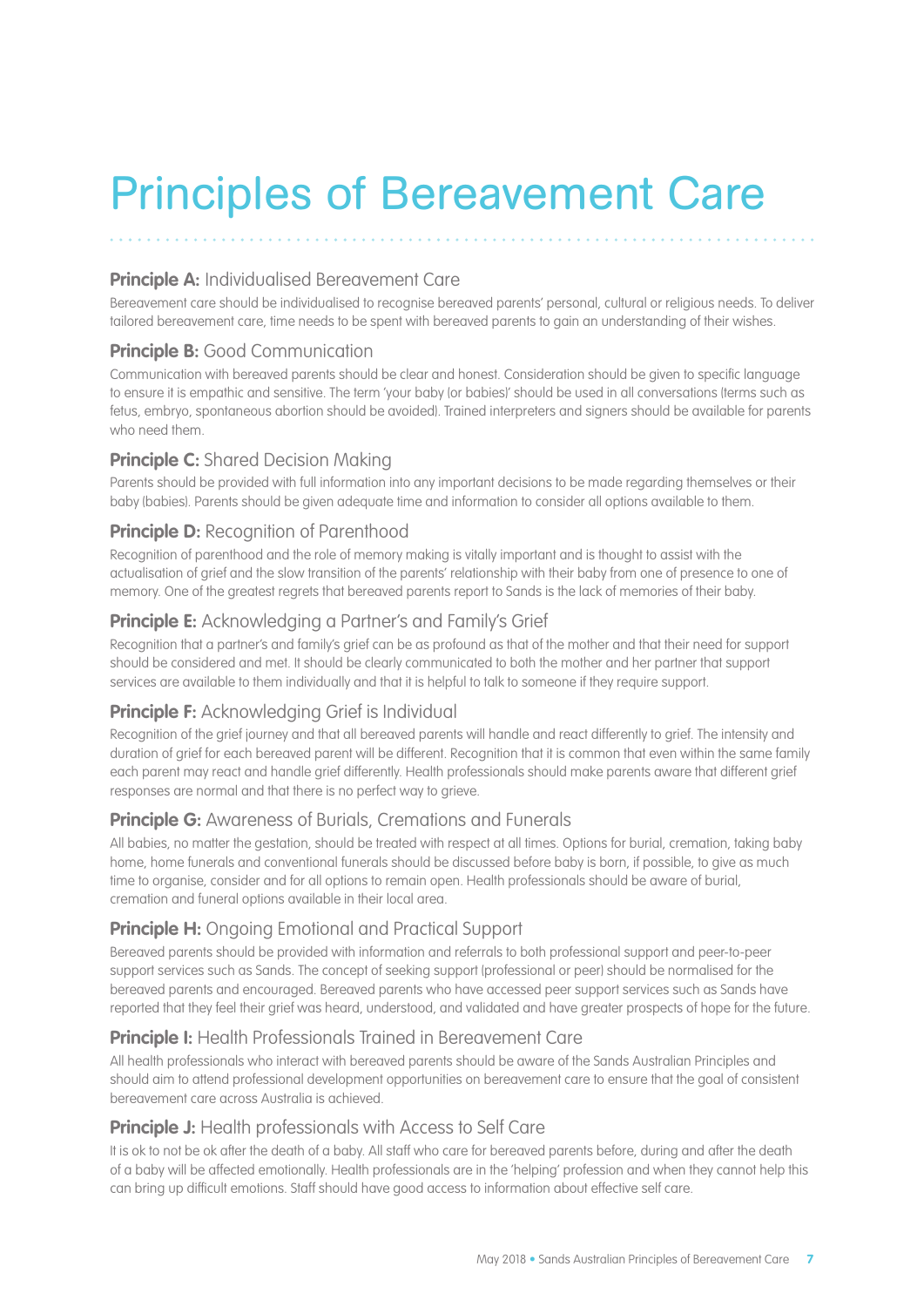# Principles of Bereavement Care

### **Principle A:** Individualised Bereavement Care

Bereavement care should be individualised to recognise bereaved parents' personal, cultural or religious needs. To deliver tailored bereavement care, time needs to be spent with bereaved parents to gain an understanding of their wishes.

### **Principle B:** Good Communication

Communication with bereaved parents should be clear and honest. Consideration should be given to specific language to ensure it is empathic and sensitive. The term 'your baby (or babies)' should be used in all conversations (terms such as fetus, embryo, spontaneous abortion should be avoided). Trained interpreters and signers should be available for parents who need them.

### **Principle C:** Shared Decision Making

Parents should be provided with full information into any important decisions to be made regarding themselves or their baby (babies). Parents should be given adequate time and information to consider all options available to them.

### **Principle D:** Recognition of Parenthood

Recognition of parenthood and the role of memory making is vitally important and is thought to assist with the actualisation of grief and the slow transition of the parents' relationship with their baby from one of presence to one of memory. One of the greatest regrets that bereaved parents report to Sands is the lack of memories of their baby.

### **Principle E:** Acknowledging a Partner's and Family's Grief

Recognition that a partner's and family's grief can be as profound as that of the mother and that their need for support should be considered and met. It should be clearly communicated to both the mother and her partner that support services are available to them individually and that it is helpful to talk to someone if they require support.

## **Principle F:** Acknowledging Grief is Individual

Recognition of the grief journey and that all bereaved parents will handle and react differently to grief. The intensity and duration of grief for each bereaved parent will be different. Recognition that it is common that even within the same family each parent may react and handle grief differently. Health professionals should make parents aware that different grief responses are normal and that there is no perfect way to grieve.

## **Principle G:** Awareness of Burials, Cremations and Funerals

All babies, no matter the gestation, should be treated with respect at all times. Options for burial, cremation, taking baby home, home funerals and conventional funerals should be discussed before baby is born, if possible, to give as much time to organise, consider and for all options to remain open. Health professionals should be aware of burial, cremation and funeral options available in their local area.

## **Principle H:** Ongoing Emotional and Practical Support

Bereaved parents should be provided with information and referrals to both professional support and peer-to-peer support services such as Sands. The concept of seeking support (professional or peer) should be normalised for the bereaved parents and encouraged. Bereaved parents who have accessed peer support services such as Sands have reported that they feel their grief was heard, understood, and validated and have greater prospects of hope for the future.

## **Principle I:** Health Professionals Trained in Bereavement Care

All health professionals who interact with bereaved parents should be aware of the Sands Australian Principles and should aim to attend professional development opportunities on bereavement care to ensure that the goal of consistent bereavement care across Australia is achieved.

## **Principle J:** Health professionals with Access to Self Care

It is ok to not be ok after the death of a baby. All staff who care for bereaved parents before, during and after the death of a baby will be affected emotionally. Health professionals are in the 'helping' profession and when they cannot help this can bring up difficult emotions. Staff should have good access to information about effective self care.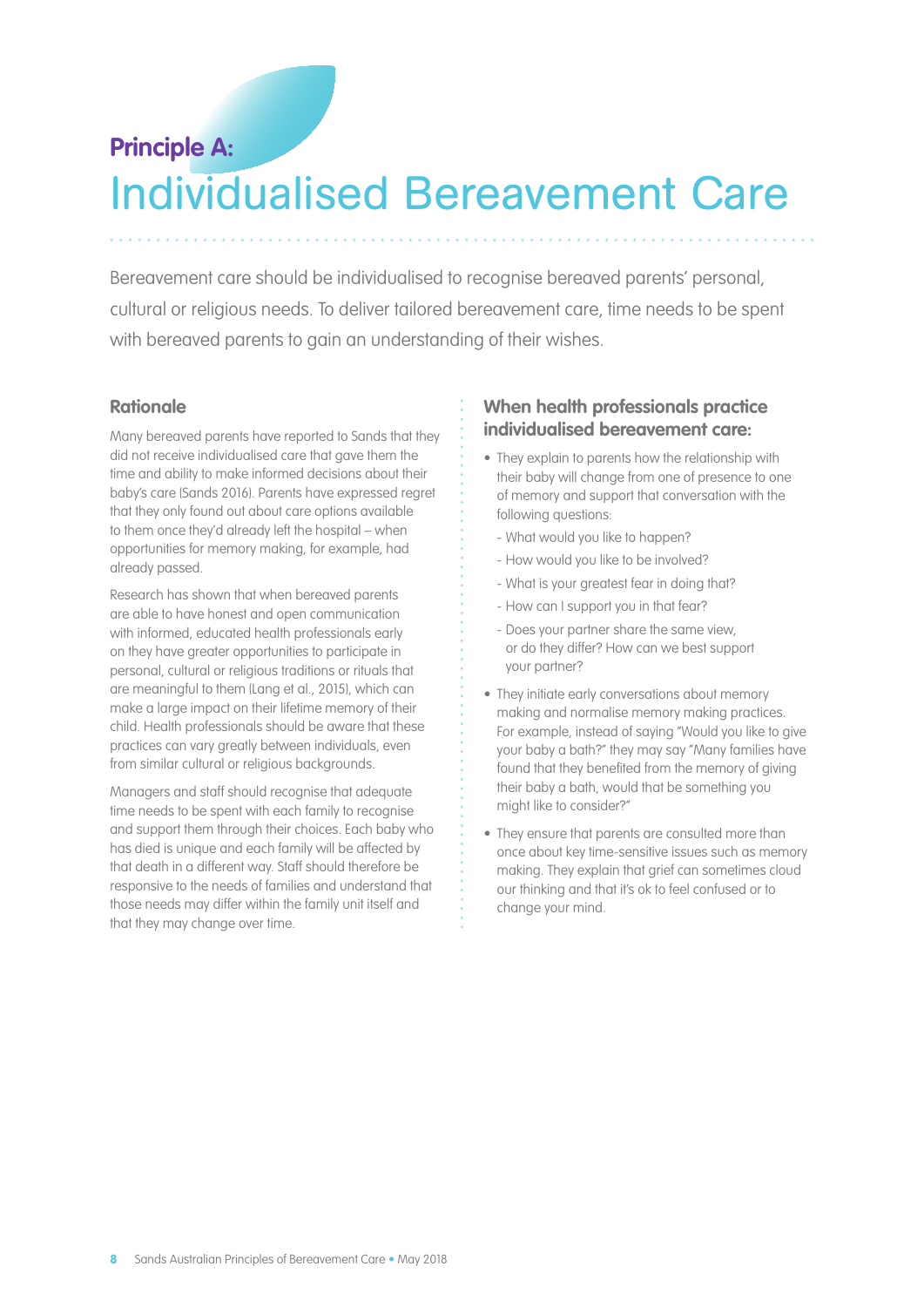## Individualised Bereavement Care **Principle A:**

Bereavement care should be individualised to recognise bereaved parents' personal, cultural or religious needs. To deliver tailored bereavement care, time needs to be spent with bereaved parents to gain an understanding of their wishes.

#### **Rationale**

Many bereaved parents have reported to Sands that they did not receive individualised care that gave them the time and ability to make informed decisions about their baby's care (Sands 2016). Parents have expressed regret that they only found out about care options available to them once they'd already left the hospital – when opportunities for memory making, for example, had already passed.

Research has shown that when bereaved parents are able to have honest and open communication with informed, educated health professionals early on they have greater opportunities to participate in personal, cultural or religious traditions or rituals that are meaningful to them (Lang et al., 2015), which can make a large impact on their lifetime memory of their child. Health professionals should be aware that these practices can vary greatly between individuals, even from similar cultural or religious backgrounds.

Managers and staff should recognise that adequate time needs to be spent with each family to recognise and support them through their choices. Each baby who has died is unique and each family will be affected by that death in a different way. Staff should therefore be responsive to the needs of families and understand that those needs may differ within the family unit itself and that they may change over time.

## **When health professionals practice individualised bereavement care:**

- They explain to parents how the relationship with their baby will change from one of presence to one of memory and support that conversation with the following questions:
	- What would you like to happen?
	- How would you like to be involved?
	- What is your greatest fear in doing that?
	- How can I support you in that fear?
	- Does your partner share the same view, or do they differ? How can we best support your partner?
- They initiate early conversations about memory making and normalise memory making practices. For example, instead of saying "Would you like to give your baby a bath?" they may say "Many families have found that they benefited from the memory of giving their baby a bath, would that be something you might like to consider?"
- They ensure that parents are consulted more than once about key time-sensitive issues such as memory making. They explain that grief can sometimes cloud our thinking and that it's ok to feel confused or to change your mind.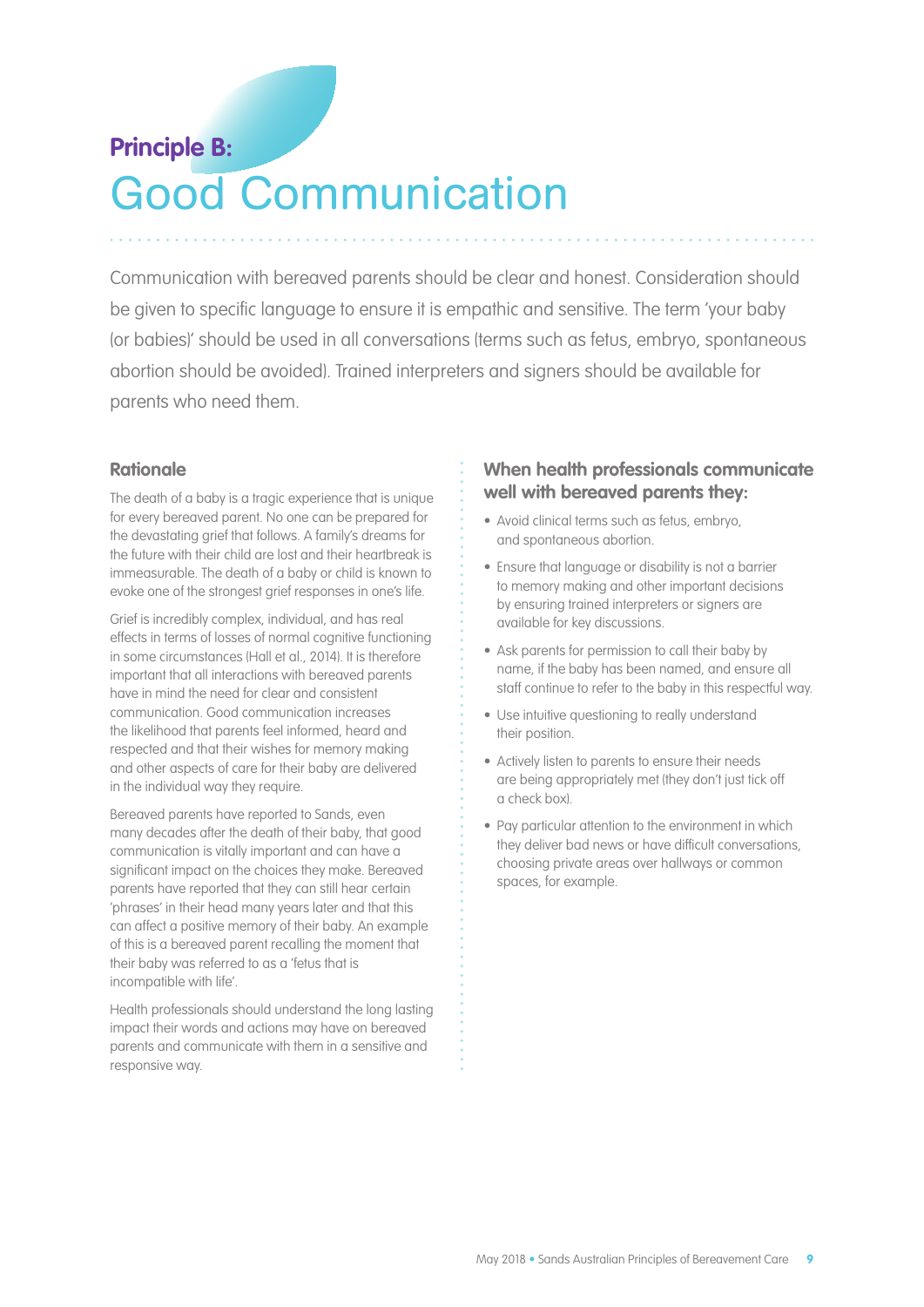## **Principle B:**  Good Communication

Communication with bereaved parents should be clear and honest. Consideration should be given to specific language to ensure it is empathic and sensitive. The term 'your baby (or babies)' should be used in all conversations (terms such as fetus, embryo, spontaneous abortion should be avoided). Trained interpreters and signers should be available for parents who need them.

### **Rationale**

The death of a baby is a tragic experience that is unique for every bereaved parent. No one can be prepared for the devastating grief that follows. A family's dreams for the future with their child are lost and their heartbreak is immeasurable. The death of a baby or child is known to evoke one of the strongest grief responses in one's life.

Grief is incredibly complex, individual, and has real effects in terms of losses of normal cognitive functioning in some circumstances (Hall et al., 2014). It is therefore important that all interactions with bereaved parents have in mind the need for clear and consistent communication. Good communication increases the likelihood that parents feel informed, heard and respected and that their wishes for memory making and other aspects of care for their baby are delivered in the individual way they require.

Bereaved parents have reported to Sands, even many decades after the death of their baby, that good communication is vitally important and can have a significant impact on the choices they make. Bereaved parents have reported that they can still hear certain 'phrases' in their head many years later and that this can affect a positive memory of their baby. An example of this is a bereaved parent recalling the moment that their baby was referred to as a 'fetus that is incompatible with life'.

Health professionals should understand the long lasting impact their words and actions may have on bereaved parents and communicate with them in a sensitive and responsive way.

## **When health professionals communicate well with bereaved parents they:**

- Avoid clinical terms such as fetus, embryo, and spontaneous abortion.
- Ensure that language or disability is not a barrier to memory making and other important decisions by ensuring trained interpreters or signers are available for key discussions.
- Ask parents for permission to call their baby by name, if the baby has been named, and ensure all staff continue to refer to the baby in this respectful way.
- Use intuitive questioning to really understand their position.
- Actively listen to parents to ensure their needs are being appropriately met (they don't just tick off a check box).
- Pay particular attention to the environment in which they deliver bad news or have difficult conversations, choosing private areas over hallways or common spaces, for example.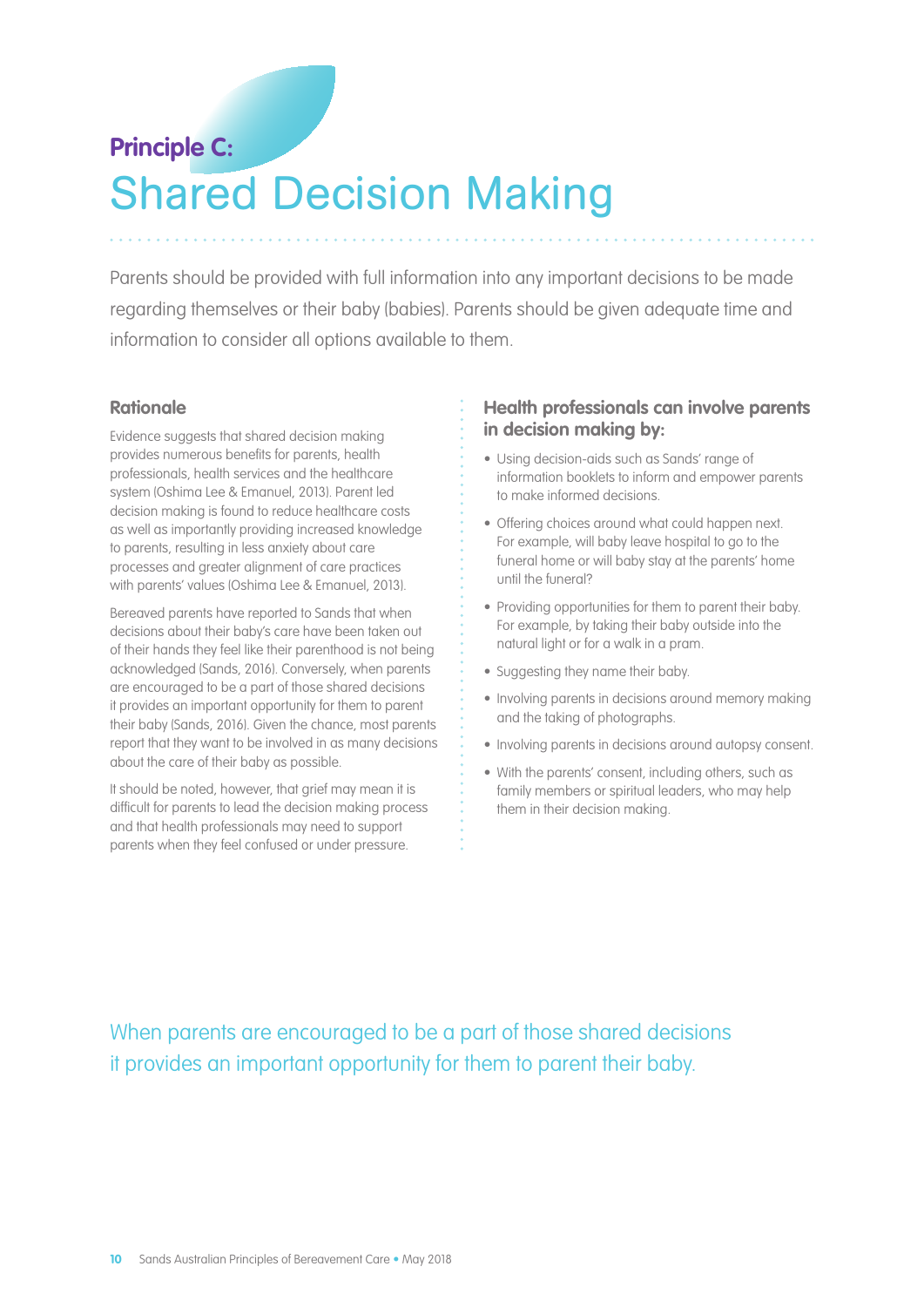## Shared Decision Making **Principle C:**

Parents should be provided with full information into any important decisions to be made regarding themselves or their baby (babies). Parents should be given adequate time and information to consider all options available to them.

#### **Rationale**

Evidence suggests that shared decision making provides numerous benefits for parents, health professionals, health services and the healthcare system (Oshima Lee & Emanuel, 2013). Parent led decision making is found to reduce healthcare costs as well as importantly providing increased knowledge to parents, resulting in less anxiety about care processes and greater alignment of care practices with parents' values (Oshima Lee & Emanuel, 2013).

Bereaved parents have reported to Sands that when decisions about their baby's care have been taken out of their hands they feel like their parenthood is not being acknowledged (Sands, 2016). Conversely, when parents are encouraged to be a part of those shared decisions it provides an important opportunity for them to parent their baby (Sands, 2016). Given the chance, most parents report that they want to be involved in as many decisions about the care of their baby as possible.

It should be noted, however, that grief may mean it is difficult for parents to lead the decision making process and that health professionals may need to support parents when they feel confused or under pressure.

### **Health professionals can involve parents in decision making by:**

- Using decision-aids such as Sands' range of information booklets to inform and empower parents to make informed decisions.
- Offering choices around what could happen next. For example, will baby leave hospital to go to the funeral home or will baby stay at the parents' home until the funeral?
- Providing opportunities for them to parent their baby. For example, by taking their baby outside into the natural light or for a walk in a pram.
- Suggesting they name their baby.
- Involving parents in decisions around memory making and the taking of photographs.
- Involving parents in decisions around autopsy consent.
- With the parents' consent, including others, such as family members or spiritual leaders, who may help them in their decision making.

When parents are encouraged to be a part of those shared decisions it provides an important opportunity for them to parent their baby.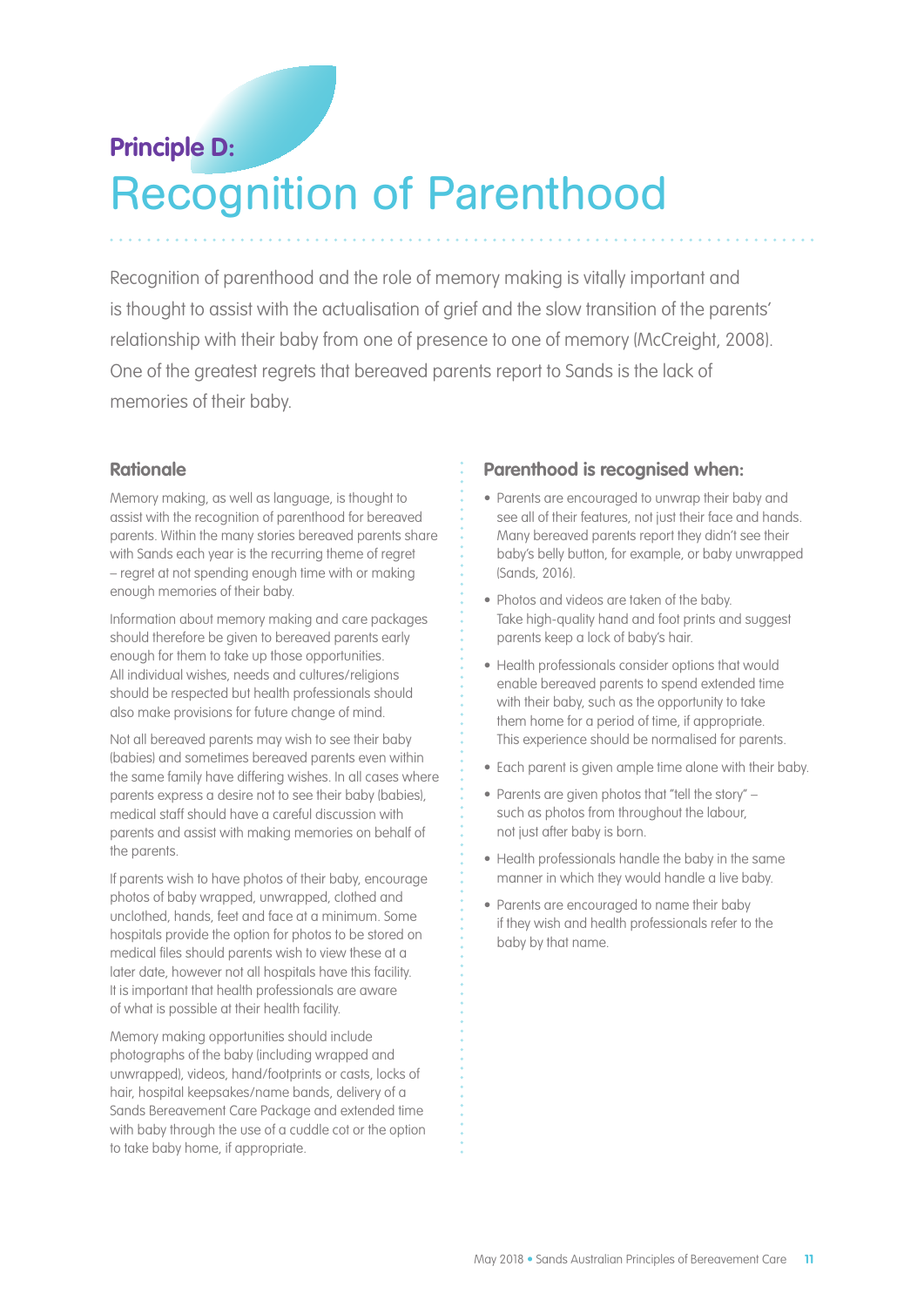## **Principle D:**  Recognition of Parenthood

Recognition of parenthood and the role of memory making is vitally important and is thought to assist with the actualisation of grief and the slow transition of the parents' relationship with their baby from one of presence to one of memory (McCreight, 2008). One of the greatest regrets that bereaved parents report to Sands is the lack of memories of their baby.

## **Rationale**

Memory making, as well as language, is thought to assist with the recognition of parenthood for bereaved parents. Within the many stories bereaved parents share with Sands each year is the recurring theme of regret – regret at not spending enough time with or making enough memories of their baby.

Information about memory making and care packages should therefore be given to bereaved parents early enough for them to take up those opportunities. All individual wishes, needs and cultures/religions should be respected but health professionals should also make provisions for future change of mind.

Not all bereaved parents may wish to see their baby (babies) and sometimes bereaved parents even within the same family have differing wishes. In all cases where parents express a desire not to see their baby (babies), medical staff should have a careful discussion with parents and assist with making memories on behalf of the parents.

If parents wish to have photos of their baby, encourage photos of baby wrapped, unwrapped, clothed and unclothed, hands, feet and face at a minimum. Some hospitals provide the option for photos to be stored on medical files should parents wish to view these at a later date, however not all hospitals have this facility. It is important that health professionals are aware of what is possible at their health facility.

Memory making opportunities should include photographs of the baby (including wrapped and unwrapped), videos, hand/footprints or casts, locks of hair, hospital keepsakes/name bands, delivery of a Sands Bereavement Care Package and extended time with baby through the use of a cuddle cot or the option to take baby home, if appropriate.

## **Parenthood is recognised when:**

- Parents are encouraged to unwrap their baby and see all of their features, not just their face and hands. Many bereaved parents report they didn't see their baby's belly button, for example, or baby unwrapped (Sands, 2016).
- Photos and videos are taken of the baby. Take high-quality hand and foot prints and suggest parents keep a lock of baby's hair.
- Health professionals consider options that would enable bereaved parents to spend extended time with their baby, such as the opportunity to take them home for a period of time, if appropriate. This experience should be normalised for parents.
- Each parent is given ample time alone with their baby.
- Parents are given photos that "tell the story" such as photos from throughout the labour, not just after baby is born.
- Health professionals handle the baby in the same manner in which they would handle a live baby.
- Parents are encouraged to name their baby if they wish and health professionals refer to the baby by that name.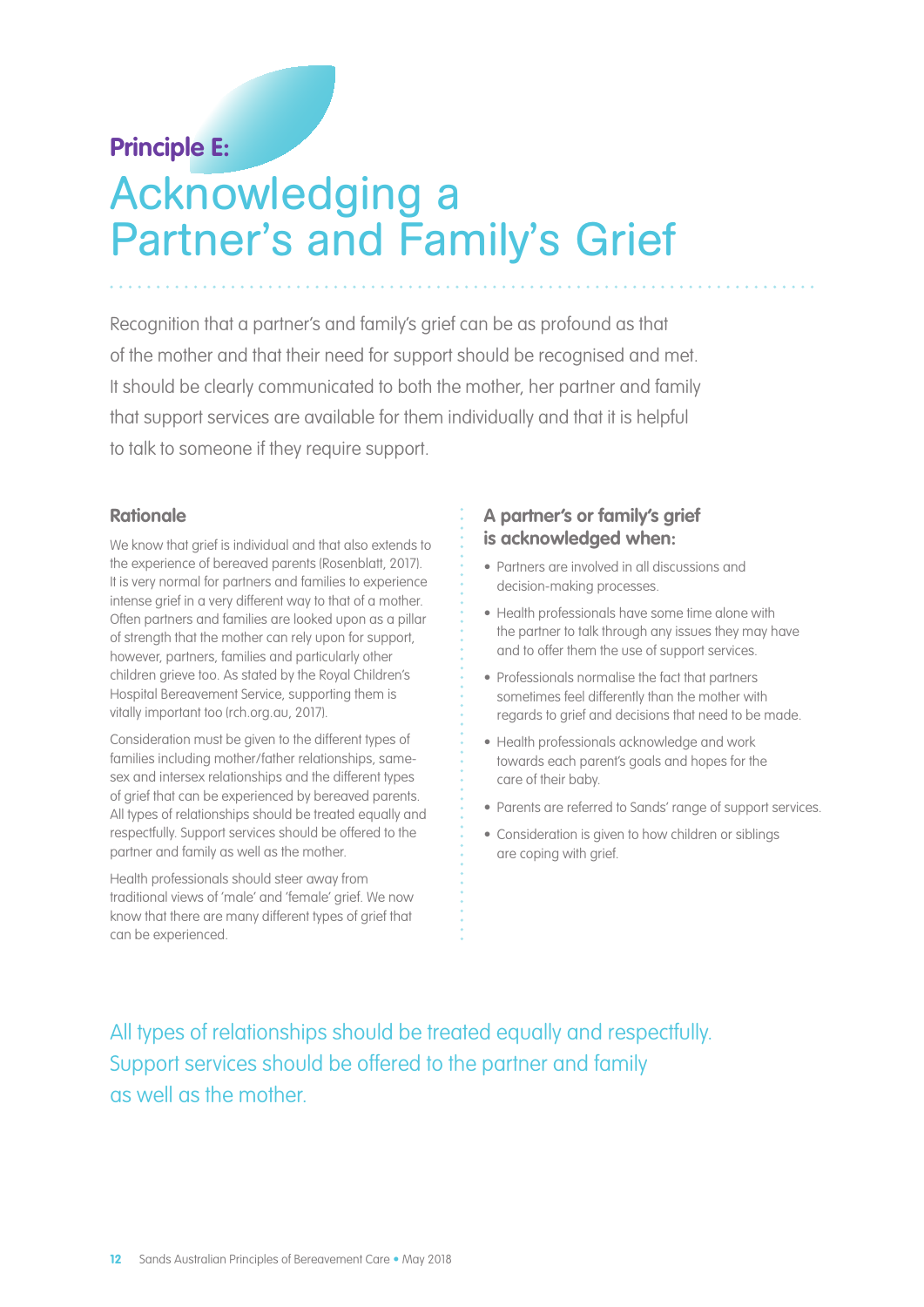## **Principle E:**

## Acknowledging a Partner's and Family's Grief

Recognition that a partner's and family's grief can be as profound as that of the mother and that their need for support should be recognised and met. It should be clearly communicated to both the mother, her partner and family that support services are available for them individually and that it is helpful to talk to someone if they require support.

### **Rationale**

We know that grief is individual and that also extends to the experience of bereaved parents (Rosenblatt, 2017). It is very normal for partners and families to experience intense grief in a very different way to that of a mother. Often partners and families are looked upon as a pillar of strength that the mother can rely upon for support, however, partners, families and particularly other children grieve too. As stated by the Royal Children's Hospital Bereavement Service, supporting them is vitally important too (rch.org.au, 2017).

Consideration must be given to the different types of families including mother/father relationships, samesex and intersex relationships and the different types of grief that can be experienced by bereaved parents. All types of relationships should be treated equally and respectfully. Support services should be offered to the partner and family as well as the mother.

Health professionals should steer away from traditional views of 'male' and 'female' grief. We now know that there are many different types of grief that can be experienced.

## **A partner's or family's grief is acknowledged when:**

- Partners are involved in all discussions and decision-making processes.
- Health professionals have some time alone with the partner to talk through any issues they may have and to offer them the use of support services.
- Professionals normalise the fact that partners sometimes feel differently than the mother with regards to grief and decisions that need to be made.
- Health professionals acknowledge and work towards each parent's goals and hopes for the care of their baby.
- Parents are referred to Sands' range of support services.
- Consideration is given to how children or siblings are coping with grief.

All types of relationships should be treated equally and respectfully. Support services should be offered to the partner and family as well as the mother.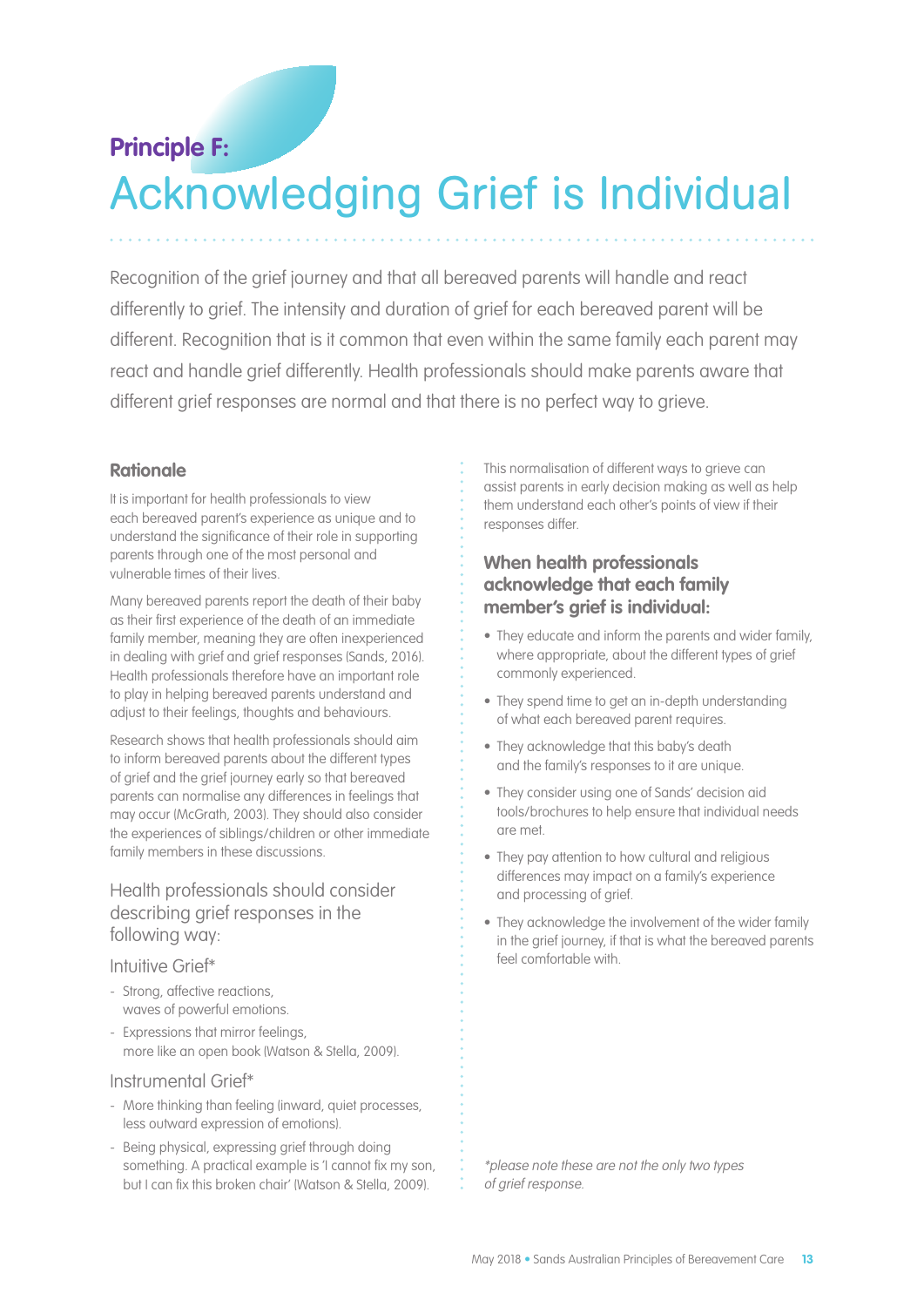## **Principle F:**

# Acknowledging Grief is Individual

Recognition of the grief journey and that all bereaved parents will handle and react differently to grief. The intensity and duration of grief for each bereaved parent will be different. Recognition that is it common that even within the same family each parent may react and handle grief differently. Health professionals should make parents aware that different grief responses are normal and that there is no perfect way to grieve.

### **Rationale**

It is important for health professionals to view each bereaved parent's experience as unique and to understand the significance of their role in supporting parents through one of the most personal and vulnerable times of their lives.

Many bereaved parents report the death of their baby as their first experience of the death of an immediate family member, meaning they are often inexperienced in dealing with grief and grief responses (Sands, 2016). Health professionals therefore have an important role to play in helping bereaved parents understand and adjust to their feelings, thoughts and behaviours.

Research shows that health professionals should aim to inform bereaved parents about the different types of grief and the grief journey early so that bereaved parents can normalise any differences in feelings that may occur (McGrath, 2003). They should also consider the experiences of siblings/children or other immediate family members in these discussions.

Health professionals should consider describing grief responses in the following way:

### Intuitive Grief\*

- Strong, affective reactions, waves of powerful emotions.
- Expressions that mirror feelings, more like an open book (Watson & Stella, 2009).

### Instrumental Grief\*

- More thinking than feeling (inward, quiet processes, less outward expression of emotions).
- Being physical, expressing grief through doing something. A practical example is 'I cannot fix my son, but I can fix this broken chair' (Watson & Stella, 2009).

This normalisation of different ways to grieve can assist parents in early decision making as well as help them understand each other's points of view if their responses differ.

## **When health professionals acknowledge that each family member's grief is individual:**

- They educate and inform the parents and wider family, where appropriate, about the different types of grief commonly experienced.
- They spend time to get an in-depth understanding of what each bereaved parent requires.
- They acknowledge that this baby's death and the family's responses to it are unique.
- They consider using one of Sands' decision aid tools/brochures to help ensure that individual needs are met.
- They pay attention to how cultural and religious differences may impact on a family's experience and processing of grief.
- They acknowledge the involvement of the wider family in the grief journey, if that is what the bereaved parents feel comfortable with.

\*please note these are not the only two types of grief response.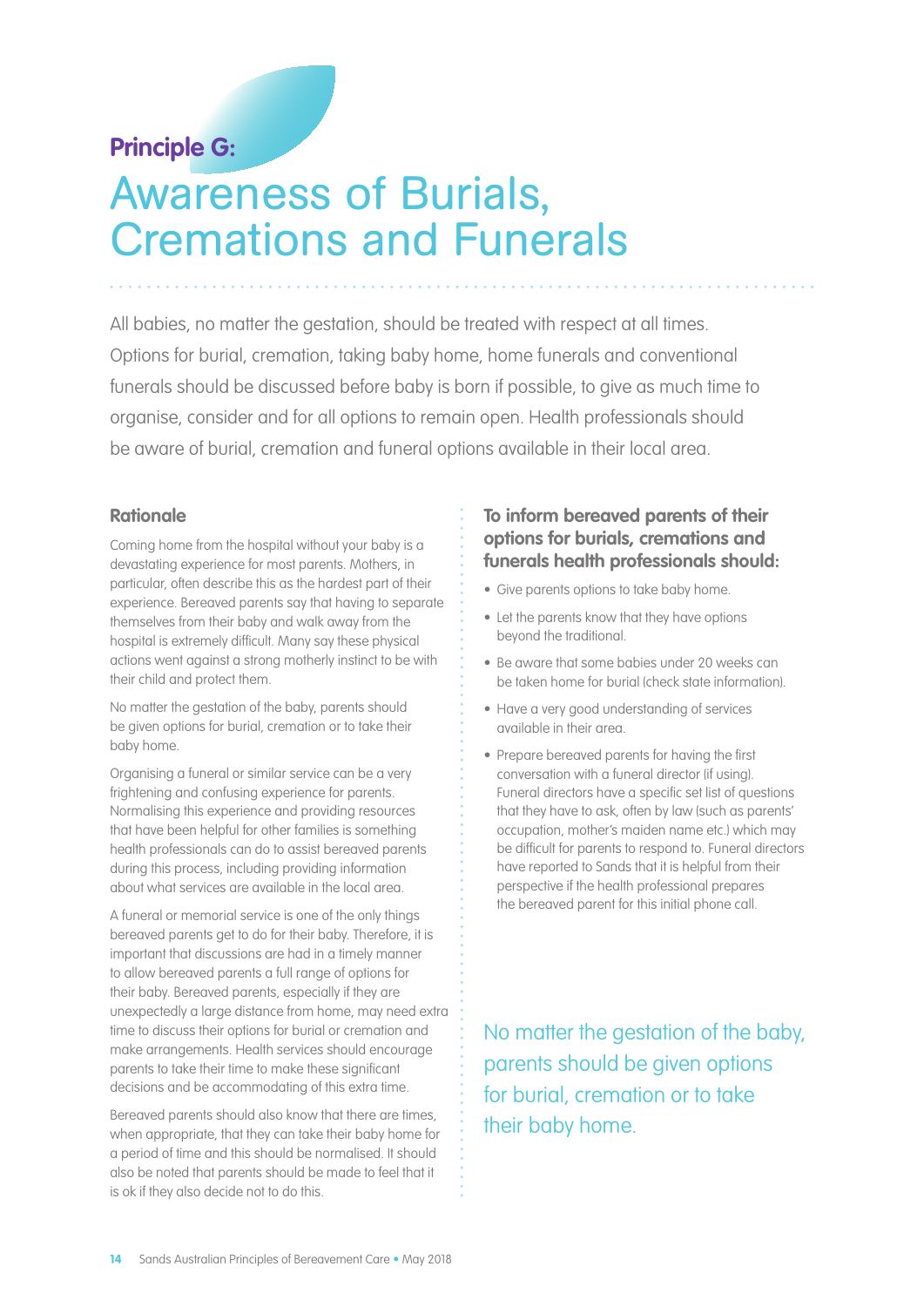## **Principle G:**

## Awareness of Burials, Cremations and Funerals

All babies, no matter the gestation, should be treated with respect at all times. Options for burial, cremation, taking baby home, home funerals and conventional funerals should be discussed before baby is born if possible, to give as much time to organise, consider and for all options to remain open. Health professionals should be aware of burial, cremation and funeral options available in their local area.

#### **Rationale**

Coming home from the hospital without your baby is a devastating experience for most parents. Mothers, in particular, often describe this as the hardest part of their experience. Bereaved parents say that having to separate themselves from their baby and walk away from the hospital is extremely difficult. Many say these physical actions went against a strong motherly instinct to be with their child and protect them.

No matter the gestation of the baby, parents should be given options for burial, cremation or to take their baby home.

Organising a funeral or similar service can be a very frightening and confusing experience for parents. Normalising this experience and providing resources that have been helpful for other families is something health professionals can do to assist bereaved parents during this process, including providing information about what services are available in the local area.

A funeral or memorial service is one of the only things bereaved parents get to do for their baby. Therefore, it is important that discussions are had in a timely manner to allow bereaved parents a full range of options for their baby. Bereaved parents, especially if they are unexpectedly a large distance from home, may need extra time to discuss their options for burial or cremation and make arrangements. Health services should encourage parents to take their time to make these significant decisions and be accommodating of this extra time.

Bereaved parents should also know that there are times, when appropriate, that they can take their baby home for a period of time and this should be normalised. It should also be noted that parents should be made to feel that it is ok if they also decide not to do this.

## **To inform bereaved parents of their options for burials, cremations and funerals health professionals should:**

- Give parents options to take baby home.
- Let the parents know that they have options beyond the traditional.
- Be aware that some babies under 20 weeks can be taken home for burial (check state information).
- Have a very good understanding of services available in their area.
- Prepare bereaved parents for having the first conversation with a funeral director (if using). Funeral directors have a specific set list of questions that they have to ask, often by law (such as parents' occupation, mother's maiden name etc.) which may be difficult for parents to respond to. Funeral directors have reported to Sands that it is helpful from their perspective if the health professional prepares the bereaved parent for this initial phone call.

No matter the gestation of the baby, parents should be given options for burial, cremation or to take their baby home.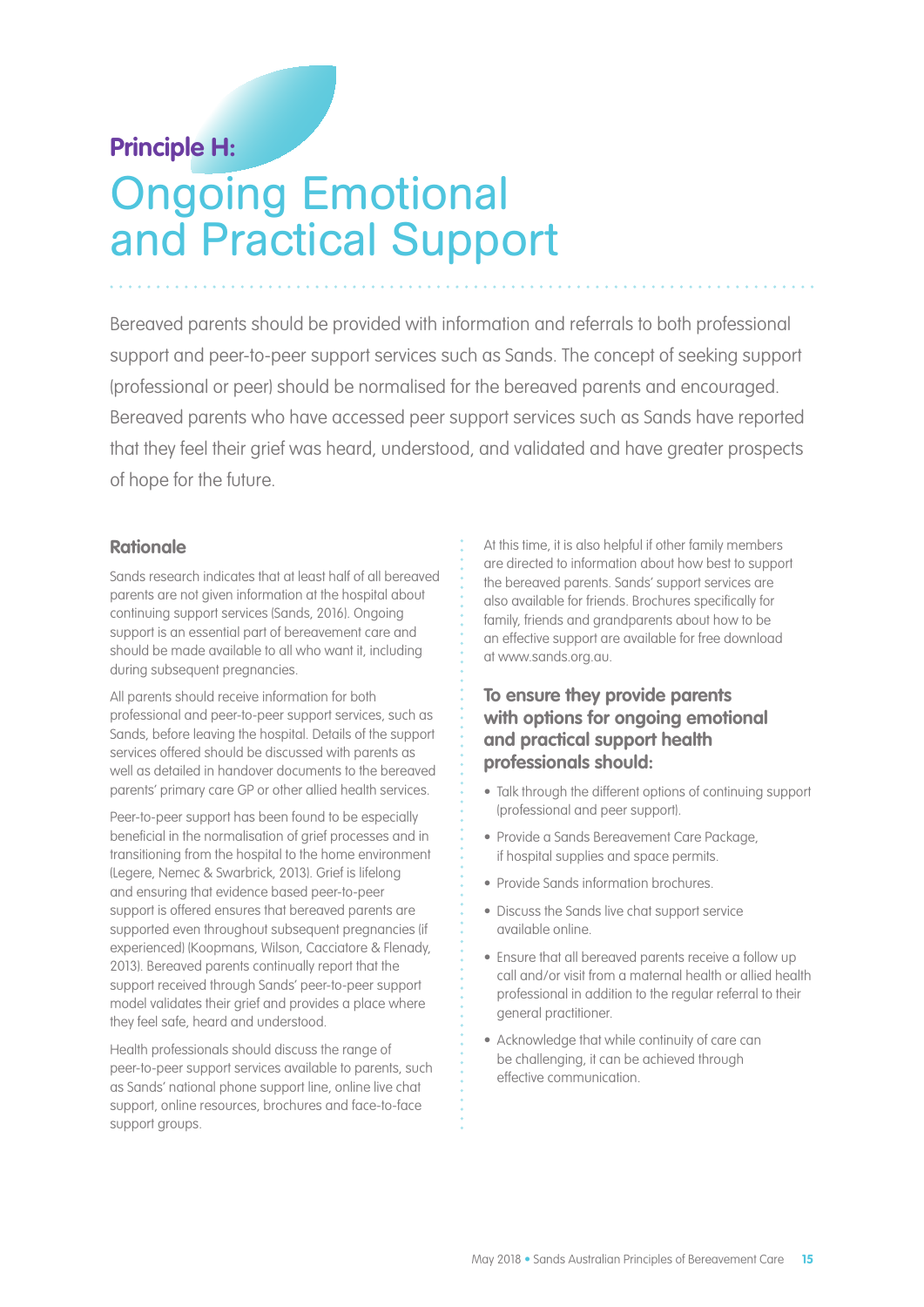## **Principle H:**

# Ongoing Emotional and Practical Support

Bereaved parents should be provided with information and referrals to both professional support and peer-to-peer support services such as Sands. The concept of seeking support (professional or peer) should be normalised for the bereaved parents and encouraged. Bereaved parents who have accessed peer support services such as Sands have reported that they feel their grief was heard, understood, and validated and have greater prospects of hope for the future.

### **Rationale**

Sands research indicates that at least half of all bereaved parents are not given information at the hospital about continuing support services (Sands, 2016). Ongoing support is an essential part of bereavement care and should be made available to all who want it, including during subsequent pregnancies.

All parents should receive information for both professional and peer-to-peer support services, such as Sands, before leaving the hospital. Details of the support services offered should be discussed with parents as well as detailed in handover documents to the bereaved parents' primary care GP or other allied health services.

Peer-to-peer support has been found to be especially beneficial in the normalisation of grief processes and in transitioning from the hospital to the home environment (Legere, Nemec & Swarbrick, 2013). Grief is lifelong and ensuring that evidence based peer-to-peer support is offered ensures that bereaved parents are supported even throughout subsequent pregnancies (if experienced) (Koopmans, Wilson, Cacciatore & Flenady, 2013). Bereaved parents continually report that the support received through Sands' peer-to-peer support model validates their grief and provides a place where they feel safe, heard and understood.

Health professionals should discuss the range of peer-to-peer support services available to parents, such as Sands' national phone support line, online live chat support, online resources, brochures and face-to-face support groups.

At this time, it is also helpful if other family members are directed to information about how best to support the bereaved parents. Sands' support services are also available for friends. Brochures specifically for family, friends and grandparents about how to be an effective support are available for free download at www.sands.org.au.

## **To ensure they provide parents with options for ongoing emotional and practical support health professionals should:**

- Talk through the different options of continuing support (professional and peer support).
- Provide a Sands Bereavement Care Package, if hospital supplies and space permits.
- Provide Sands information brochures.
- Discuss the Sands live chat support service available online.
- Ensure that all bereaved parents receive a follow up call and/or visit from a maternal health or allied health professional in addition to the regular referral to their general practitioner.
- Acknowledge that while continuity of care can be challenging, it can be achieved through effective communication.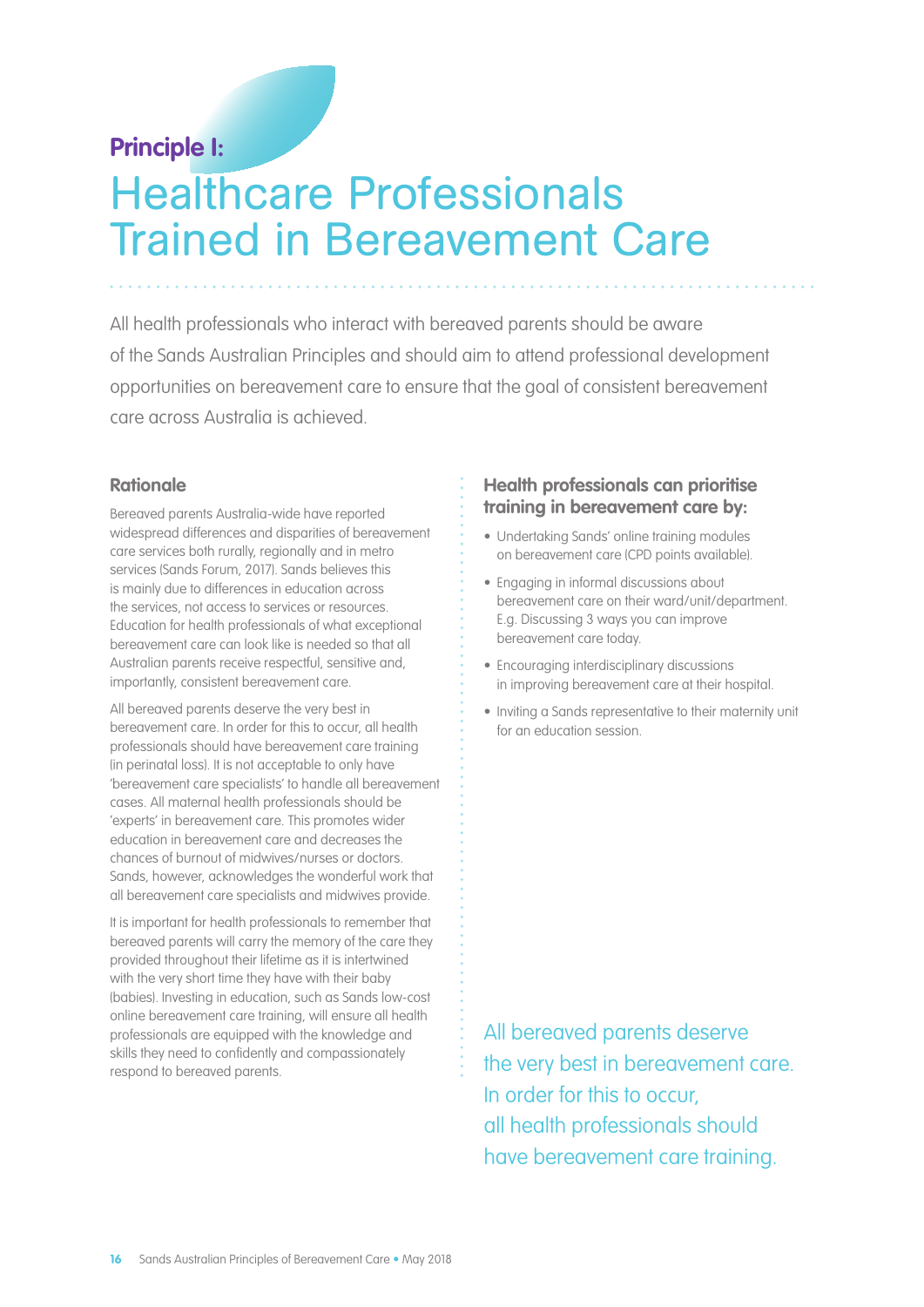## **Principle I:**

## Healthcare Professionals Trained in Bereavement Care

All health professionals who interact with bereaved parents should be aware of the Sands Australian Principles and should aim to attend professional development opportunities on bereavement care to ensure that the goal of consistent bereavement care across Australia is achieved.

### **Rationale**

Bereaved parents Australia-wide have reported widespread differences and disparities of bereavement care services both rurally, regionally and in metro services (Sands Forum, 2017). Sands believes this is mainly due to differences in education across the services, not access to services or resources. Education for health professionals of what exceptional bereavement care can look like is needed so that all Australian parents receive respectful, sensitive and, importantly, consistent bereavement care.

All bereaved parents deserve the very best in bereavement care. In order for this to occur, all health professionals should have bereavement care training (in perinatal loss). It is not acceptable to only have 'bereavement care specialists' to handle all bereavement cases. All maternal health professionals should be 'experts' in bereavement care. This promotes wider education in bereavement care and decreases the chances of burnout of midwives/nurses or doctors. Sands, however, acknowledges the wonderful work that all bereavement care specialists and midwives provide.

It is important for health professionals to remember that bereaved parents will carry the memory of the care they provided throughout their lifetime as it is intertwined with the very short time they have with their baby (babies). Investing in education, such as Sands low-cost online bereavement care training, will ensure all health professionals are equipped with the knowledge and skills they need to confidently and compassionately respond to bereaved parents.

## **Health professionals can prioritise training in bereavement care by:**

- Undertaking Sands' online training modules on bereavement care (CPD points available).
- Engaging in informal discussions about bereavement care on their ward/unit/department. E.g. Discussing 3 ways you can improve bereavement care today.
- Encouraging interdisciplinary discussions in improving bereavement care at their hospital.
- Inviting a Sands representative to their maternity unit for an education session.

All bereaved parents deserve the very best in bereavement care. In order for this to occur, all health professionals should have bereavement care training.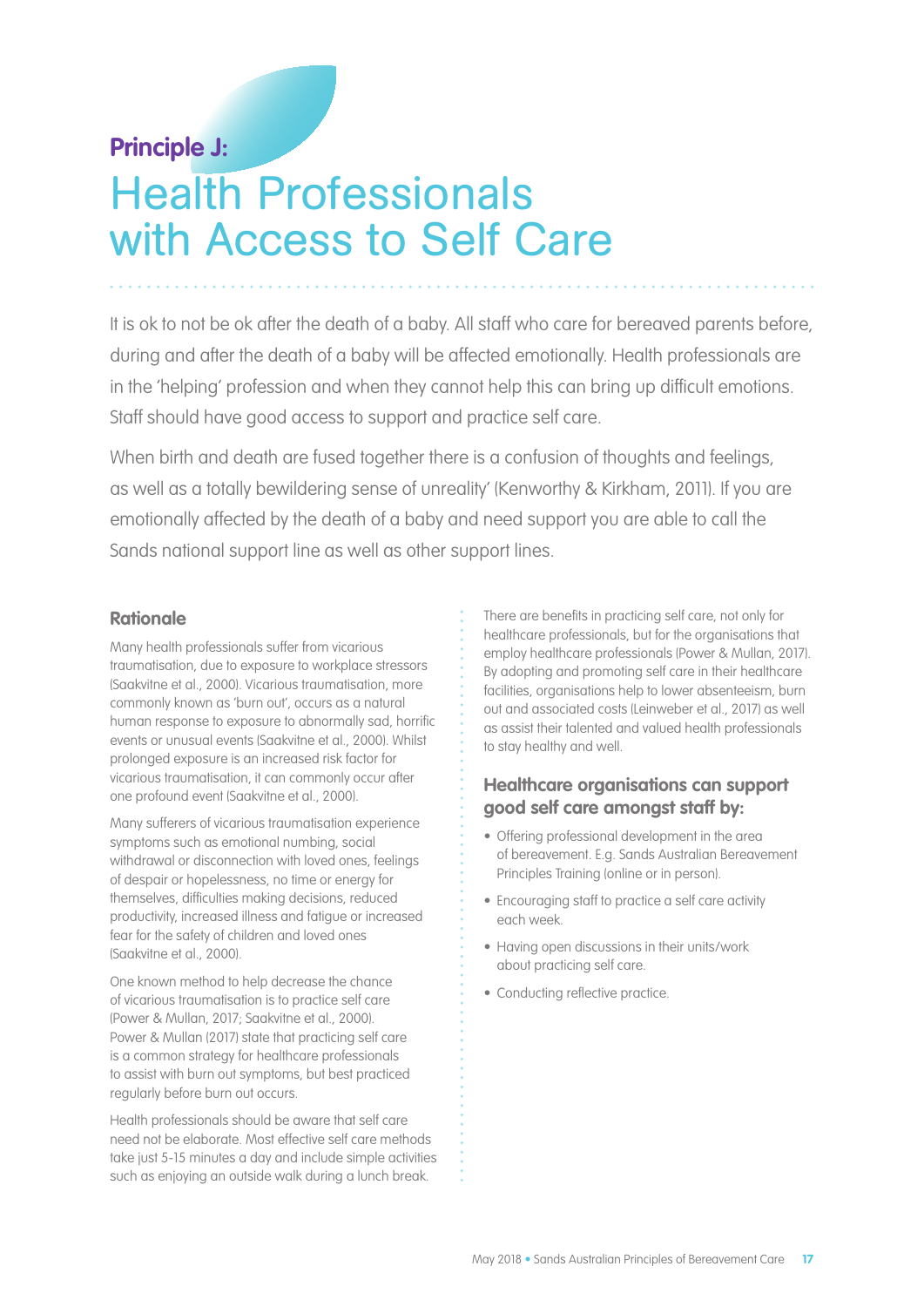## **Principle J:**

## Health Professionals with Access to Self Care

It is ok to not be ok after the death of a baby. All staff who care for bereaved parents before, during and after the death of a baby will be affected emotionally. Health professionals are in the 'helping' profession and when they cannot help this can bring up difficult emotions. Staff should have good access to support and practice self care.

When birth and death are fused together there is a confusion of thoughts and feelings, as well as a totally bewildering sense of unreality' (Kenworthy & Kirkham, 2011). If you are emotionally affected by the death of a baby and need support you are able to call the Sands national support line as well as other support lines.

### **Rationale**

Many health professionals suffer from vicarious traumatisation, due to exposure to workplace stressors (Saakvitne et al., 2000). Vicarious traumatisation, more commonly known as 'burn out', occurs as a natural human response to exposure to abnormally sad, horrific events or unusual events (Saakvitne et al., 2000). Whilst prolonged exposure is an increased risk factor for vicarious traumatisation, it can commonly occur after one profound event (Saakvitne et al., 2000).

Many sufferers of vicarious traumatisation experience symptoms such as emotional numbing, social withdrawal or disconnection with loved ones, feelings of despair or hopelessness, no time or energy for themselves, difficulties making decisions, reduced productivity, increased illness and fatigue or increased fear for the safety of children and loved ones (Saakvitne et al., 2000).

One known method to help decrease the chance of vicarious traumatisation is to practice self care (Power & Mullan, 2017; Saakvitne et al., 2000). Power & Mullan (2017) state that practicing self care is a common strategy for healthcare professionals to assist with burn out symptoms, but best practiced regularly before burn out occurs.

Health professionals should be aware that self care need not be elaborate. Most effective self care methods take just 5-15 minutes a day and include simple activities such as enjoying an outside walk during a lunch break.

There are benefits in practicing self care, not only for healthcare professionals, but for the organisations that employ healthcare professionals (Power & Mullan, 2017). By adopting and promoting self care in their healthcare facilities, organisations help to lower absenteeism, burn out and associated costs (Leinweber et al., 2017) as well as assist their talented and valued health professionals to stay healthy and well.

### **Healthcare organisations can support good self care amongst staff by:**

- Offering professional development in the area of bereavement. E.g. Sands Australian Bereavement Principles Training (online or in person).
- Encouraging staff to practice a self care activity each week.
- Having open discussions in their units/work about practicing self care.
- Conducting reflective practice.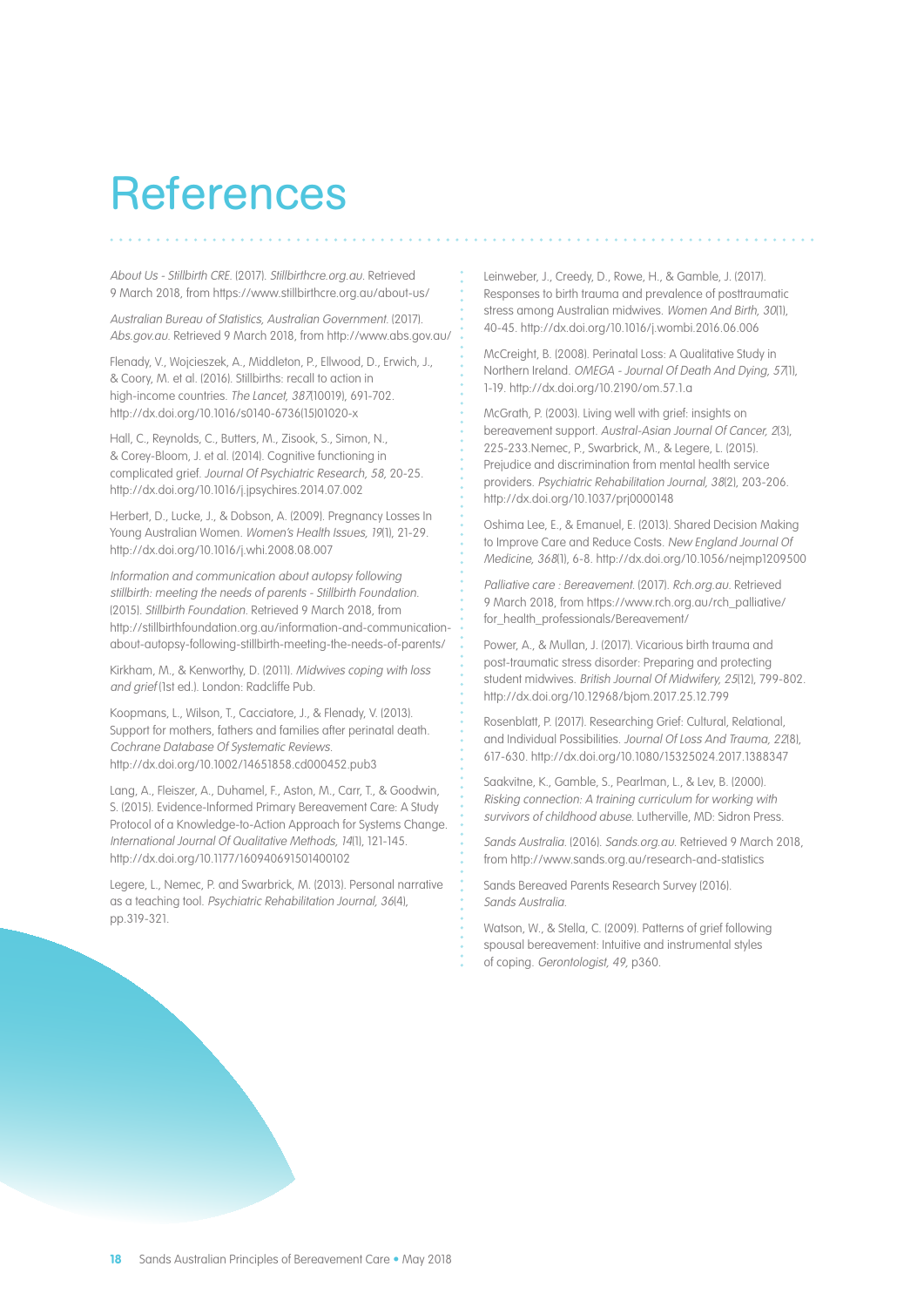## **References**

About Us - Stillbirth CRE. (2017). Stillbirthcre.org.au. Retrieved 9 March 2018, from https://www.stillbirthcre.org.au/about-us/

Australian Bureau of Statistics, Australian Government. (2017). Abs.gov.au. Retrieved 9 March 2018, from http://www.abs.gov.au/

Flenady, V., Wojcieszek, A., Middleton, P., Ellwood, D., Erwich, J., & Coory, M. et al. (2016). Stillbirths: recall to action in high-income countries. The Lancet, 387(10019), 691-702. http://dx.doi.org/10.1016/s0140-6736(15)01020-x

Hall, C., Reynolds, C., Butters, M., Zisook, S., Simon, N., & Corey-Bloom, J. et al. (2014). Cognitive functioning in complicated grief. Journal Of Psychiatric Research, 58, 20-25. http://dx.doi.org/10.1016/j.jpsychires.2014.07.002

Herbert, D., Lucke, J., & Dobson, A. (2009). Pregnancy Losses In Young Australian Women. Women's Health Issues, 19(1), 21-29. http://dx.doi.org/10.1016/j.whi.2008.08.007

Information and communication about autopsy following stillbirth: meeting the needs of parents - Stillbirth Foundation. (2015). Stillbirth Foundation. Retrieved 9 March 2018, from http://stillbirthfoundation.org.au/information-and-communicationabout-autopsy-following-stillbirth-meeting-the-needs-of-parents/

Kirkham, M., & Kenworthy, D. (2011). Midwives coping with loss and grief (1st ed.). London: Radcliffe Pub.

Koopmans, L., Wilson, T., Cacciatore, J., & Flenady, V. (2013). Support for mothers, fathers and families after perinatal death. Cochrane Database Of Systematic Reviews. http://dx.doi.org/10.1002/14651858.cd000452.pub3

Lang, A., Fleiszer, A., Duhamel, F., Aston, M., Carr, T., & Goodwin, S. (2015). Evidence-Informed Primary Bereavement Care: A Study Protocol of a Knowledge-to-Action Approach for Systems Change. International Journal Of Qualitative Methods, 14(1), 121-145. http://dx.doi.org/10.1177/160940691501400102

Legere, L., Nemec, P. and Swarbrick, M. (2013). Personal narrative as a teaching tool. Psychiatric Rehabilitation Journal, 36(4), pp.319-321.

Leinweber, J., Creedy, D., Rowe, H., & Gamble, J. (2017). Responses to birth trauma and prevalence of posttraumatic stress among Australian midwives. Women And Birth, 30(1), 40-45. http://dx.doi.org/10.1016/j.wombi.2016.06.006

McCreight, B. (2008). Perinatal Loss: A Qualitative Study in Northern Ireland. OMEGA - Journal Of Death And Dying, 57(1), 1-19. http://dx.doi.org/10.2190/om.57.1.a

McGrath, P. (2003). Living well with grief: insights on bereavement support. Austral-Asian Journal Of Cancer, 2(3), 225-233.Nemec, P., Swarbrick, M., & Legere, L. (2015). Prejudice and discrimination from mental health service providers. Psychiatric Rehabilitation Journal, 38(2), 203-206. http://dx.doi.org/10.1037/prj0000148

Oshima Lee, E., & Emanuel, E. (2013). Shared Decision Making to Improve Care and Reduce Costs. New England Journal Of Medicine, 368(1), 6-8. http://dx.doi.org/10.1056/nejmp1209500

Palliative care : Bereavement. (2017). Rch.org.au. Retrieved 9 March 2018, from https://www.rch.org.au/rch\_palliative/ for health professionals/Bereavement/

Power, A., & Mullan, J. (2017). Vicarious birth trauma and post-traumatic stress disorder: Preparing and protecting student midwives. British Journal Of Midwifery, 25(12), 799-802. http://dx.doi.org/10.12968/bjom.2017.25.12.799

Rosenblatt, P. (2017). Researching Grief: Cultural, Relational, and Individual Possibilities. Journal Of Loss And Trauma, 22(8), 617-630. http://dx.doi.org/10.1080/15325024.2017.1388347

Saakvitne, K., Gamble, S., Pearlman, L., & Lev, B. (2000). Risking connection: A training curriculum for working with survivors of childhood abuse. Lutherville, MD: Sidron Press.

Sands Australia. (2016). Sands.org.au. Retrieved 9 March 2018, from http://www.sands.org.au/research-and-statistics

Sands Bereaved Parents Research Survey (2016). Sands Australia.

Watson, W., & Stella, C. (2009). Patterns of grief following spousal bereavement: Intuitive and instrumental styles of coping. Gerontologist, 49, p360.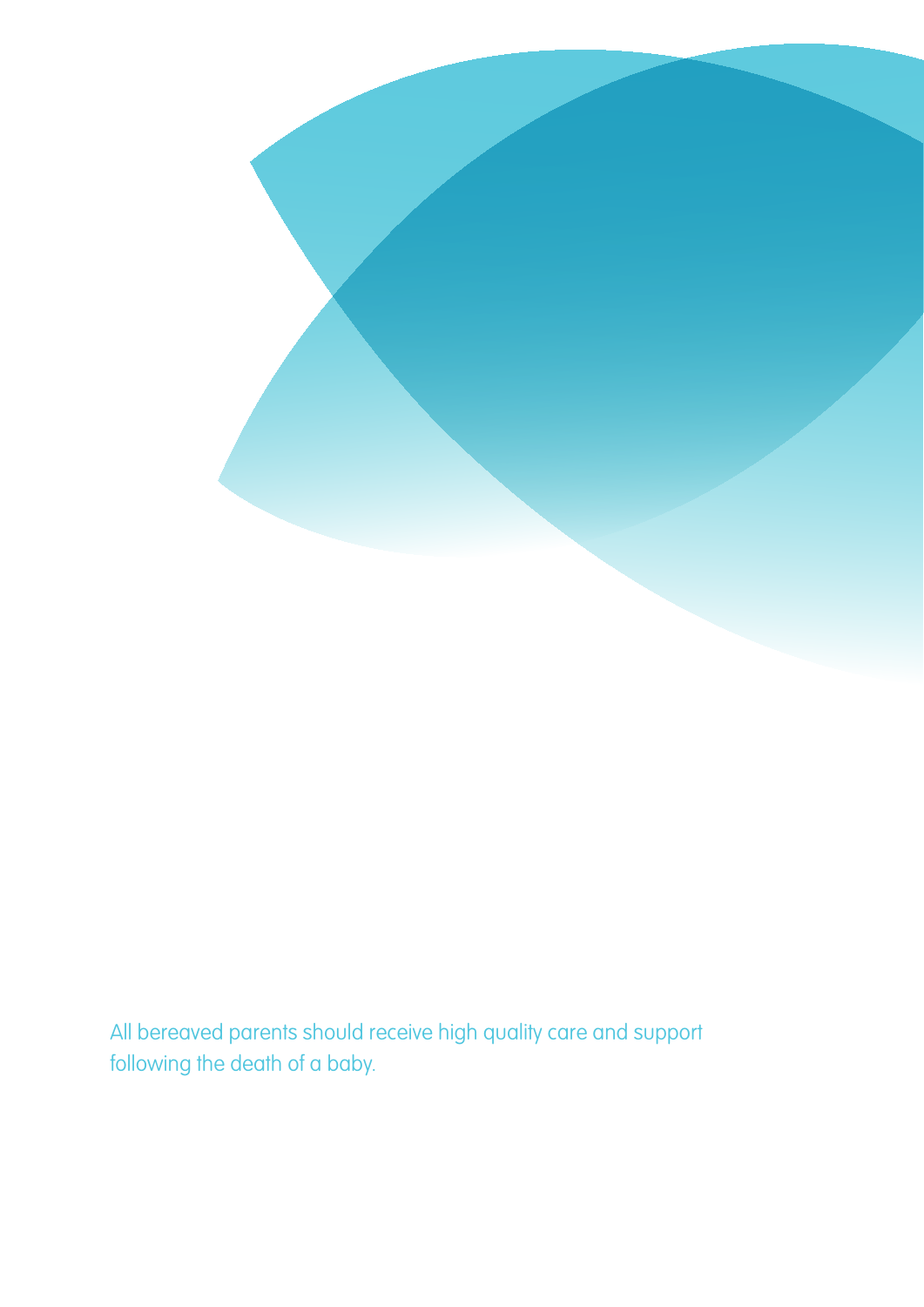

All bereaved parents should receive high quality care and support following the death of a baby.